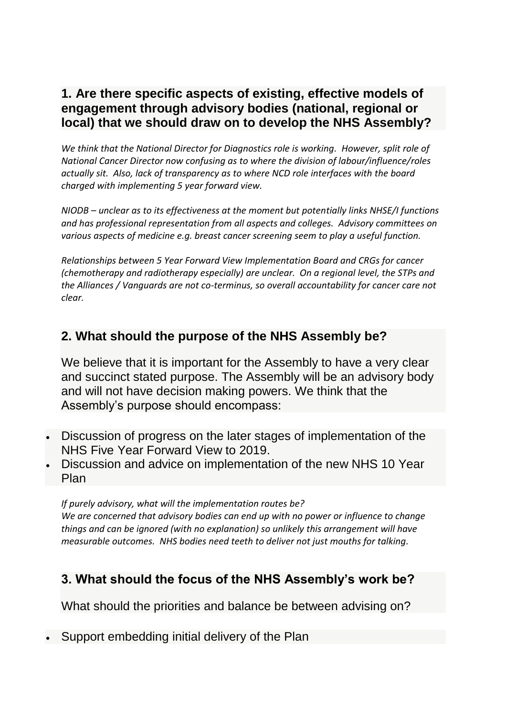### **1. Are there specific aspects of existing, effective models of engagement through advisory bodies (national, regional or local) that we should draw on to develop the NHS Assembly?**

*We think that the National Director for Diagnostics role is working. However, split role of National Cancer Director now confusing as to where the division of labour/influence/roles actually sit. Also, lack of transparency as to where NCD role interfaces with the board charged with implementing 5 year forward view.* 

*NIODB – unclear as to its effectiveness at the moment but potentially links NHSE/I functions and has professional representation from all aspects and colleges. Advisory committees on various aspects of medicine e.g. breast cancer screening seem to play a useful function.*

*Relationships between 5 Year Forward View Implementation Board and CRGs for cancer (chemotherapy and radiotherapy especially) are unclear. On a regional level, the STPs and the Alliances / Vanguards are not co-terminus, so overall accountability for cancer care not clear.* 

# **2. What should the purpose of the NHS Assembly be?**

We believe that it is important for the Assembly to have a very clear and succinct stated purpose. The Assembly will be an advisory body and will not have decision making powers. We think that the Assembly's purpose should encompass:

- Discussion of progress on the later stages of implementation of the NHS Five Year Forward View to 2019.
- Discussion and advice on implementation of the new NHS 10 Year Plan

*If purely advisory, what will the implementation routes be? We are concerned that advisory bodies can end up with no power or influence to change things and can be ignored (with no explanation) so unlikely this arrangement will have measurable outcomes. NHS bodies need teeth to deliver not just mouths for talking.*

## **3. What should the focus of the NHS Assembly's work be?**

What should the priorities and balance be between advising on?

Support embedding initial delivery of the Plan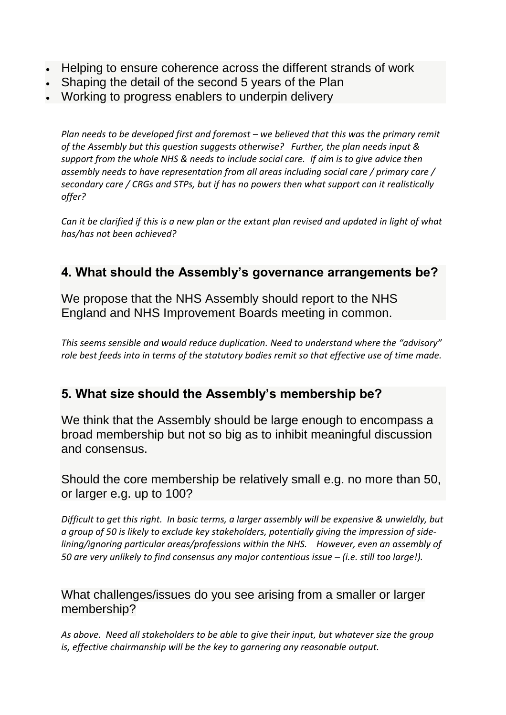- Helping to ensure coherence across the different strands of work
- Shaping the detail of the second 5 years of the Plan
- Working to progress enablers to underpin delivery

*Plan needs to be developed first and foremost – we believed that this was the primary remit of the Assembly but this question suggests otherwise? Further, the plan needs input & support from the whole NHS & needs to include social care. If aim is to give advice then assembly needs to have representation from all areas including social care / primary care / secondary care / CRGs and STPs, but if has no powers then what support can it realistically offer?*

*Can it be clarified if this is a new plan or the extant plan revised and updated in light of what has/has not been achieved?*

## **4. What should the Assembly's governance arrangements be?**

We propose that the NHS Assembly should report to the NHS England and NHS Improvement Boards meeting in common.

*This seems sensible and would reduce duplication. Need to understand where the "advisory" role best feeds into in terms of the statutory bodies remit so that effective use of time made.*

### **5. What size should the Assembly's membership be?**

We think that the Assembly should be large enough to encompass a broad membership but not so big as to inhibit meaningful discussion and consensus.

Should the core membership be relatively small e.g. no more than 50, or larger e.g. up to 100?

*Difficult to get this right. In basic terms, a larger assembly will be expensive & unwieldly, but a group of 50 is likely to exclude key stakeholders, potentially giving the impression of sidelining/ignoring particular areas/professions within the NHS. However, even an assembly of 50 are very unlikely to find consensus any major contentious issue – (i.e. still too large!).* 

#### What challenges/issues do you see arising from a smaller or larger membership?

*As above. Need all stakeholders to be able to give their input, but whatever size the group is, effective chairmanship will be the key to garnering any reasonable output.*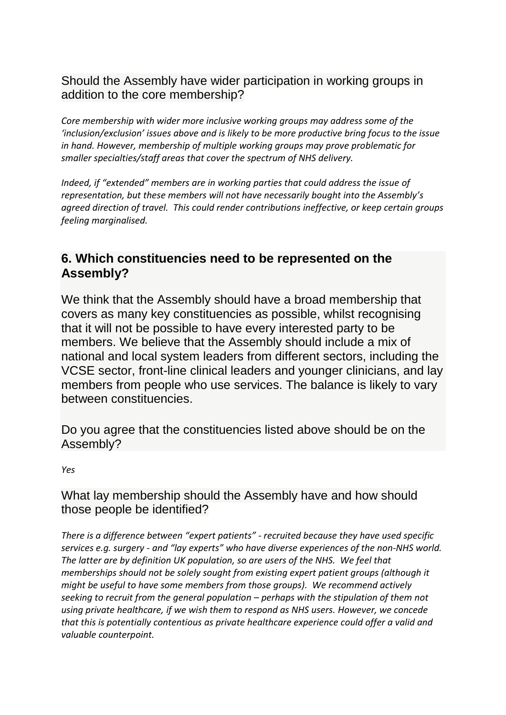#### Should the Assembly have wider participation in working groups in addition to the core membership?

*Core membership with wider more inclusive working groups may address some of the 'inclusion/exclusion' issues above and is likely to be more productive bring focus to the issue in hand. However, membership of multiple working groups may prove problematic for smaller specialties/staff areas that cover the spectrum of NHS delivery.*

*Indeed, if "extended" members are in working parties that could address the issue of representation, but these members will not have necessarily bought into the Assembly's agreed direction of travel. This could render contributions ineffective, or keep certain groups feeling marginalised.* 

### **6. Which constituencies need to be represented on the Assembly?**

We think that the Assembly should have a broad membership that covers as many key constituencies as possible, whilst recognising that it will not be possible to have every interested party to be members. We believe that the Assembly should include a mix of national and local system leaders from different sectors, including the VCSE sector, front-line clinical leaders and younger clinicians, and lay members from people who use services. The balance is likely to vary between constituencies.

Do you agree that the constituencies listed above should be on the Assembly?

*Yes*

#### What lay membership should the Assembly have and how should those people be identified?

*There is a difference between "expert patients" - recruited because they have used specific services e.g. surgery - and "lay experts" who have diverse experiences of the non-NHS world. The latter are by definition UK population, so are users of the NHS. We feel that memberships should not be solely sought from existing expert patient groups (although it might be useful to have some members from those groups). We recommend actively seeking to recruit from the general population – perhaps with the stipulation of them not using private healthcare, if we wish them to respond as NHS users. However, we concede that this is potentially contentious as private healthcare experience could offer a valid and valuable counterpoint.*